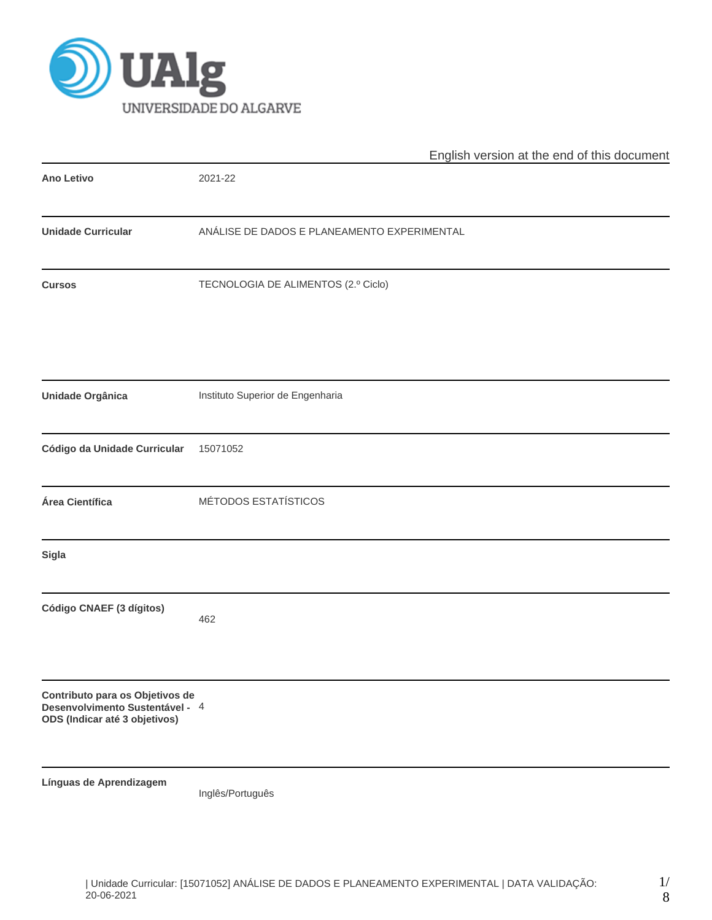

|                                                                                                     | English version at the end of this document |  |  |  |  |  |  |
|-----------------------------------------------------------------------------------------------------|---------------------------------------------|--|--|--|--|--|--|
| <b>Ano Letivo</b>                                                                                   | 2021-22                                     |  |  |  |  |  |  |
| <b>Unidade Curricular</b>                                                                           | ANÁLISE DE DADOS E PLANEAMENTO EXPERIMENTAL |  |  |  |  |  |  |
| <b>Cursos</b>                                                                                       | TECNOLOGIA DE ALIMENTOS (2.º Ciclo)         |  |  |  |  |  |  |
| Unidade Orgânica                                                                                    | Instituto Superior de Engenharia            |  |  |  |  |  |  |
| Código da Unidade Curricular                                                                        | 15071052                                    |  |  |  |  |  |  |
| Área Científica                                                                                     | MÉTODOS ESTATÍSTICOS                        |  |  |  |  |  |  |
| Sigla                                                                                               |                                             |  |  |  |  |  |  |
| Código CNAEF (3 dígitos)                                                                            | 462                                         |  |  |  |  |  |  |
| Contributo para os Objetivos de<br>Desenvolvimento Sustentável - 4<br>ODS (Indicar até 3 objetivos) |                                             |  |  |  |  |  |  |
| Línguas de Aprendizagem                                                                             | Inglês/Português                            |  |  |  |  |  |  |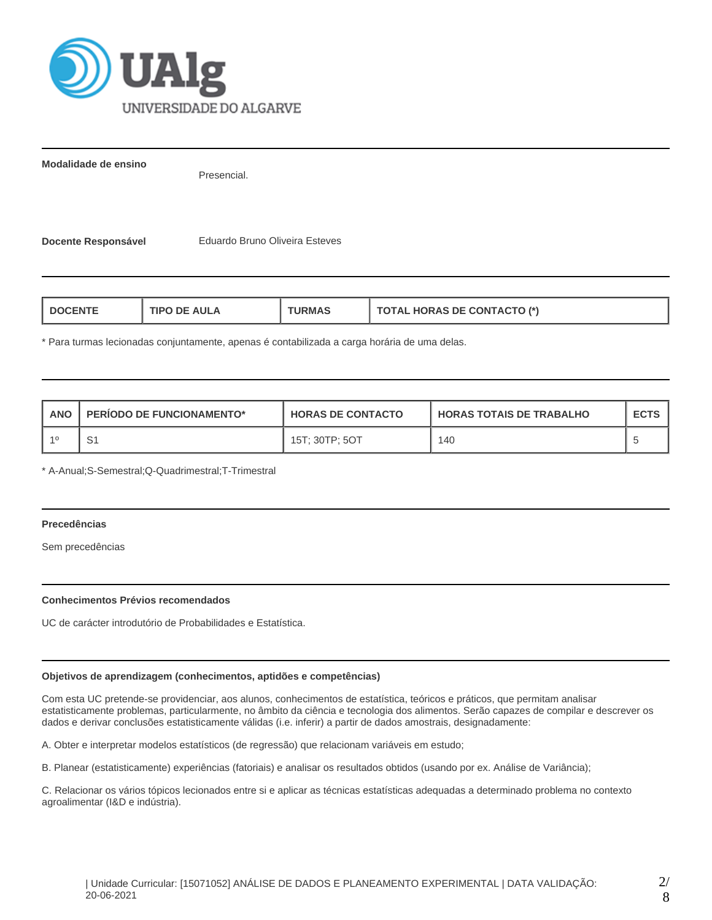

**Modalidade de ensino**

Presencial.

**Docente Responsável** Eduardo Bruno Oliveira Esteves

| <b>TOTAL HORAS DE CONTACTO (*)</b><br>TIPO DE AULA<br>L DOCENTE<br>'JRMAS |  |
|---------------------------------------------------------------------------|--|
|---------------------------------------------------------------------------|--|

\* Para turmas lecionadas conjuntamente, apenas é contabilizada a carga horária de uma delas.

| ANO | <b>PERIODO DE FUNCIONAMENTO*</b> | <b>HORAS DE CONTACTO</b> | I HORAS TOTAIS DE TRABALHO | <b>ECTS</b> |
|-----|----------------------------------|--------------------------|----------------------------|-------------|
|     | S1                               | 15T: 30TP: 5OT           | 140                        |             |

\* A-Anual;S-Semestral;Q-Quadrimestral;T-Trimestral

## **Precedências**

Sem precedências

#### **Conhecimentos Prévios recomendados**

UC de carácter introdutório de Probabilidades e Estatística.

### **Objetivos de aprendizagem (conhecimentos, aptidões e competências)**

Com esta UC pretende-se providenciar, aos alunos, conhecimentos de estatística, teóricos e práticos, que permitam analisar estatisticamente problemas, particularmente, no âmbito da ciência e tecnologia dos alimentos. Serão capazes de compilar e descrever os dados e derivar conclusões estatisticamente válidas (i.e. inferir) a partir de dados amostrais, designadamente:

A. Obter e interpretar modelos estatísticos (de regressão) que relacionam variáveis em estudo;

B. Planear (estatisticamente) experiências (fatoriais) e analisar os resultados obtidos (usando por ex. Análise de Variância);

C. Relacionar os vários tópicos lecionados entre si e aplicar as técnicas estatísticas adequadas a determinado problema no contexto agroalimentar (I&D e indústria).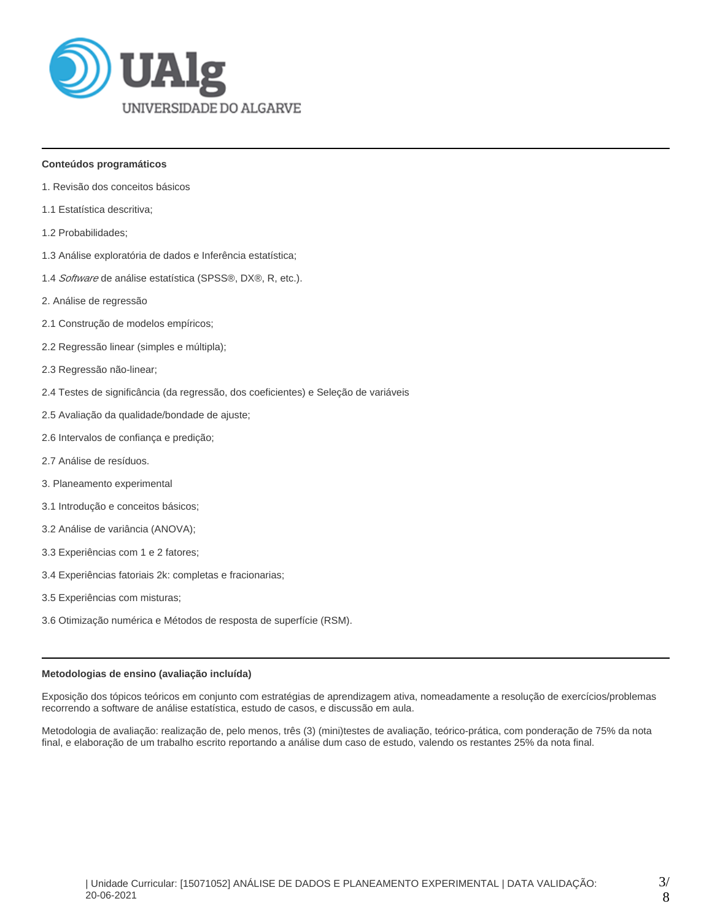

### **Conteúdos programáticos**

- 1. Revisão dos conceitos básicos
- 1.1 Estatística descritiva;
- 1.2 Probabilidades;
- 1.3 Análise exploratória de dados e Inferência estatística;
- 1.4 Software de análise estatística (SPSS®, DX®, R, etc.).
- 2. Análise de regressão
- 2.1 Construção de modelos empíricos;
- 2.2 Regressão linear (simples e múltipla);
- 2.3 Regressão não-linear;
- 2.4 Testes de significância (da regressão, dos coeficientes) e Seleção de variáveis
- 2.5 Avaliação da qualidade/bondade de ajuste;
- 2.6 Intervalos de confiança e predição;
- 2.7 Análise de resíduos.
- 3. Planeamento experimental
- 3.1 Introdução e conceitos básicos;
- 3.2 Análise de variância (ANOVA);
- 3.3 Experiências com 1 e 2 fatores;
- 3.4 Experiências fatoriais 2k: completas e fracionarias;
- 3.5 Experiências com misturas;
- 3.6 Otimização numérica e Métodos de resposta de superfície (RSM).

#### **Metodologias de ensino (avaliação incluída)**

Exposição dos tópicos teóricos em conjunto com estratégias de aprendizagem ativa, nomeadamente a resolução de exercícios/problemas recorrendo a software de análise estatística, estudo de casos, e discussão em aula.

Metodologia de avaliação: realização de, pelo menos, três (3) (mini)testes de avaliação, teórico-prática, com ponderação de 75% da nota final, e elaboração de um trabalho escrito reportando a análise dum caso de estudo, valendo os restantes 25% da nota final.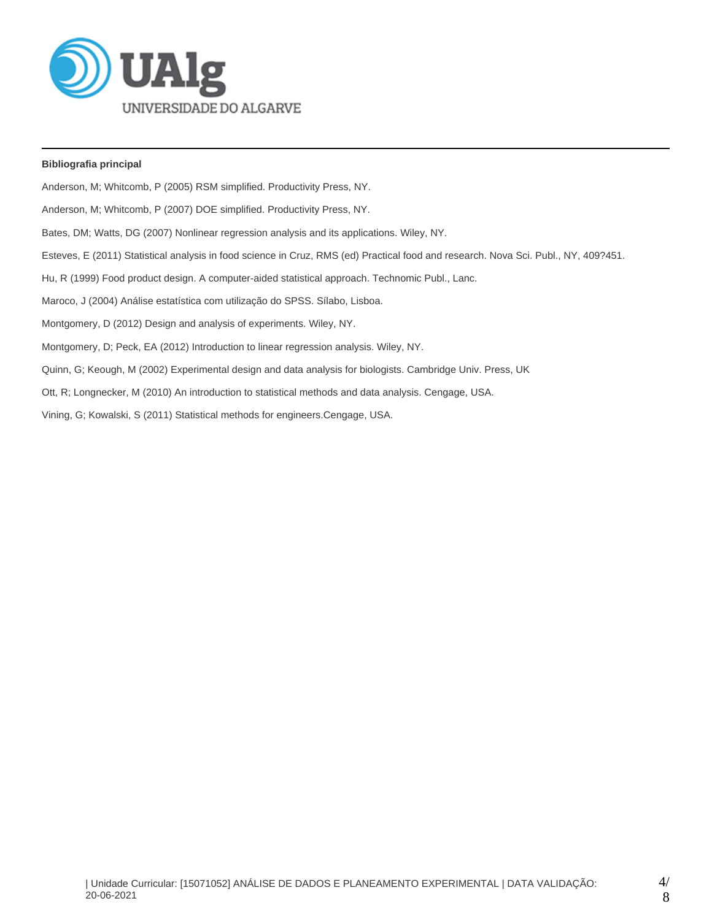

## **Bibliografia principal**

Anderson, M; Whitcomb, P (2005) RSM simplified. Productivity Press, NY. Anderson, M; Whitcomb, P (2007) DOE simplified. Productivity Press, NY. Bates, DM; Watts, DG (2007) Nonlinear regression analysis and its applications. Wiley, NY. Esteves, E (2011) Statistical analysis in food science in Cruz, RMS (ed) Practical food and research. Nova Sci. Publ., NY, 409?451. Hu, R (1999) Food product design. A computer-aided statistical approach. Technomic Publ., Lanc. Maroco, J (2004) Análise estatística com utilização do SPSS. Sílabo, Lisboa. Montgomery, D (2012) Design and analysis of experiments. Wiley, NY. Montgomery, D; Peck, EA (2012) Introduction to linear regression analysis. Wiley, NY. Quinn, G; Keough, M (2002) Experimental design and data analysis for biologists. Cambridge Univ. Press, UK Ott, R; Longnecker, M (2010) An introduction to statistical methods and data analysis. Cengage, USA. Vining, G; Kowalski, S (2011) Statistical methods for engineers.Cengage, USA.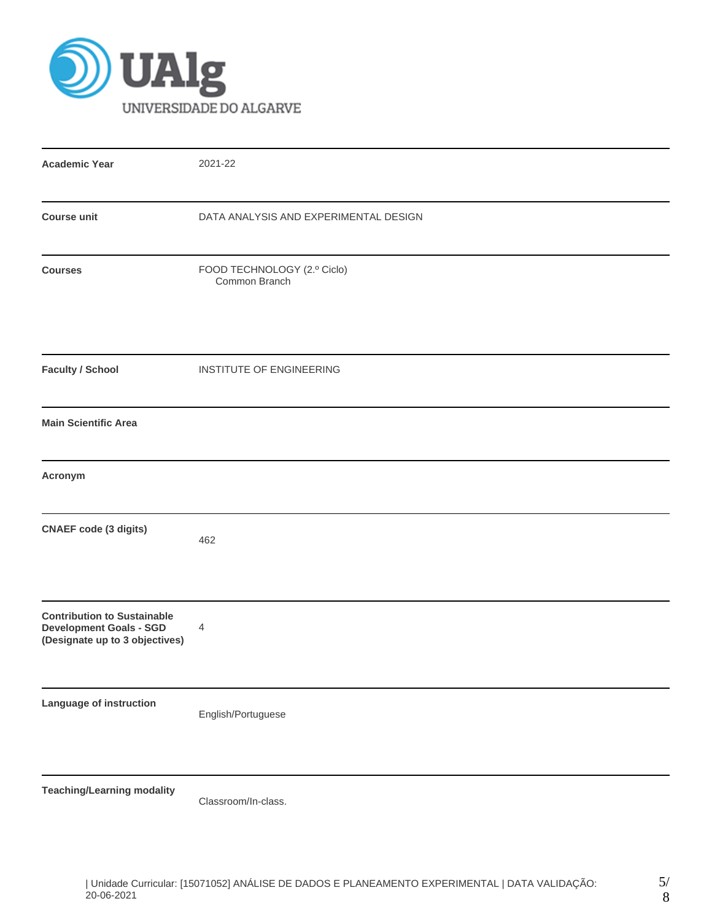

| <b>Academic Year</b>                                                                                   | 2021-22                                      |
|--------------------------------------------------------------------------------------------------------|----------------------------------------------|
| <b>Course unit</b>                                                                                     | DATA ANALYSIS AND EXPERIMENTAL DESIGN        |
| <b>Courses</b>                                                                                         | FOOD TECHNOLOGY (2.º Ciclo)<br>Common Branch |
| <b>Faculty / School</b>                                                                                | INSTITUTE OF ENGINEERING                     |
| <b>Main Scientific Area</b>                                                                            |                                              |
| Acronym                                                                                                |                                              |
| <b>CNAEF</b> code (3 digits)                                                                           | 462                                          |
| <b>Contribution to Sustainable</b><br><b>Development Goals - SGD</b><br>(Designate up to 3 objectives) | 4                                            |
| Language of instruction                                                                                | English/Portuguese                           |
| <b>Teaching/Learning modality</b>                                                                      | Classroom/In-class.                          |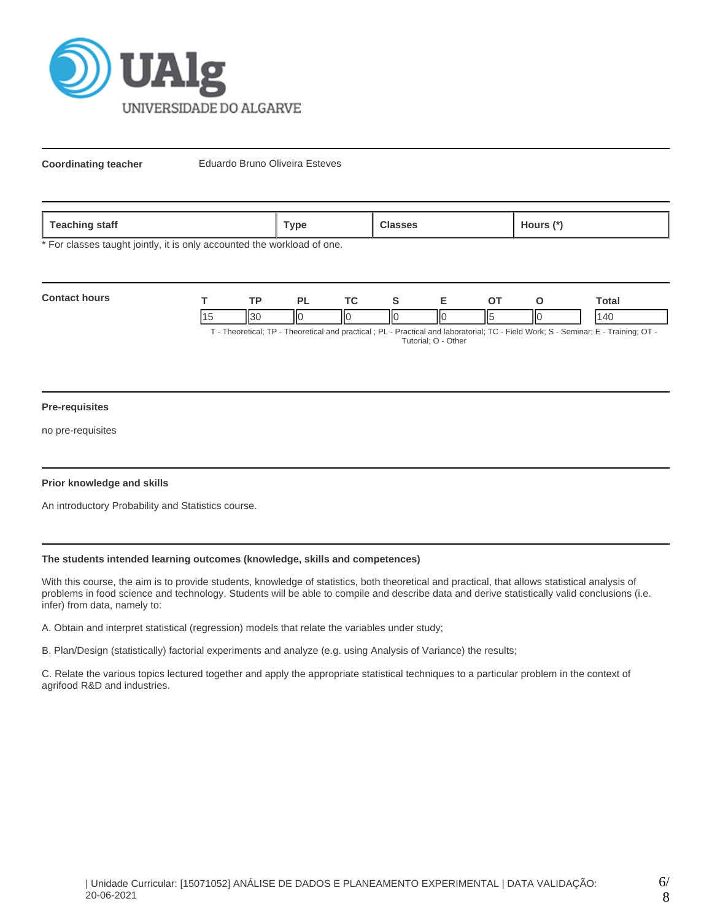

**Coordinating teacher** Eduardo Bruno Oliveira Esteves

| <b>Teaching</b><br>staff | Гуре | $\mathbf{r}$<br>.1ours '<br>$\sim$ |
|--------------------------|------|------------------------------------|
|                          |      |                                    |

\* For classes taught jointly, it is only accounted the workload of one.

| <b>Contact hours</b>                                                                                                  |  |        |  |     |   |    |     | `otal |
|-----------------------------------------------------------------------------------------------------------------------|--|--------|--|-----|---|----|-----|-------|
|                                                                                                                       |  | $II$ 3 |  | ll( | Ш | п. | IІC | 40    |
| Theoretical: TD Theoretical and proctical : DL Dractical and Inhoratorial: TC Eiold Work: S. Sominar: E. Training: OT |  |        |  |     |   |    |     |       |

- Theoretical; TP - Theoretical and practical ; PL - Practical and laboratorial; TC - Field Work; S - Seminar; E - Training; OT Tutorial; O - Other

#### **Pre-requisites**

no pre-requisites

#### **Prior knowledge and skills**

An introductory Probability and Statistics course.

### **The students intended learning outcomes (knowledge, skills and competences)**

With this course, the aim is to provide students, knowledge of statistics, both theoretical and practical, that allows statistical analysis of problems in food science and technology. Students will be able to compile and describe data and derive statistically valid conclusions (i.e. infer) from data, namely to:

A. Obtain and interpret statistical (regression) models that relate the variables under study;

B. Plan/Design (statistically) factorial experiments and analyze (e.g. using Analysis of Variance) the results;

C. Relate the various topics lectured together and apply the appropriate statistical techniques to a particular problem in the context of agrifood R&D and industries.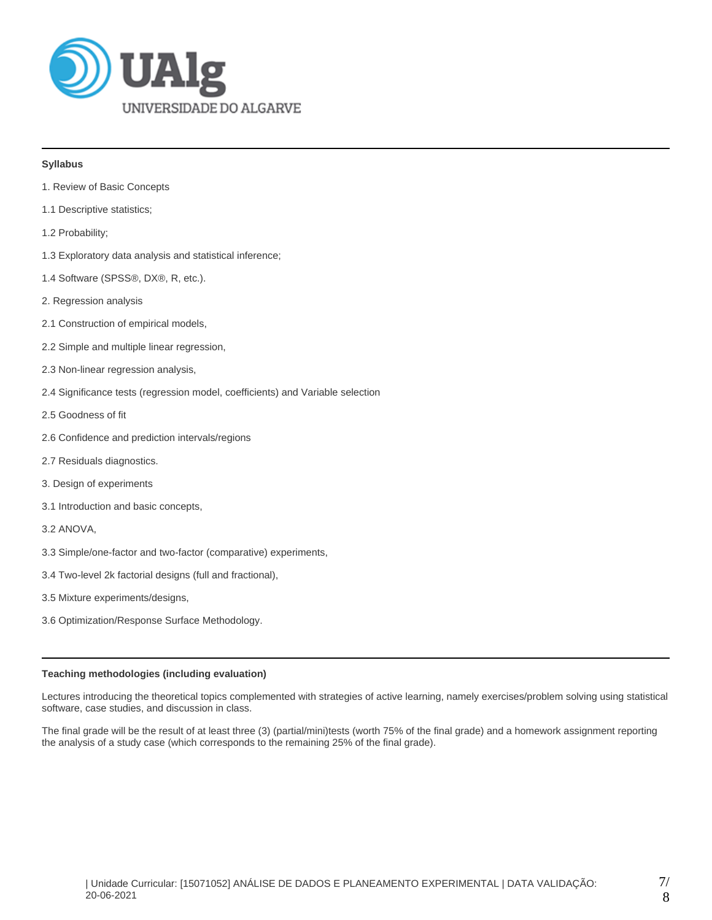

## **Syllabus**

- 1. Review of Basic Concepts
- 1.1 Descriptive statistics;
- 1.2 Probability;
- 1.3 Exploratory data analysis and statistical inference;
- 1.4 Software (SPSS®, DX®, R, etc.).
- 2. Regression analysis
- 2.1 Construction of empirical models,
- 2.2 Simple and multiple linear regression,
- 2.3 Non-linear regression analysis,
- 2.4 Significance tests (regression model, coefficients) and Variable selection
- 2.5 Goodness of fit
- 2.6 Confidence and prediction intervals/regions
- 2.7 Residuals diagnostics.
- 3. Design of experiments
- 3.1 Introduction and basic concepts,
- 3.2 ANOVA,
- 3.3 Simple/one-factor and two-factor (comparative) experiments,
- 3.4 Two-level 2k factorial designs (full and fractional),
- 3.5 Mixture experiments/designs,
- 3.6 Optimization/Response Surface Methodology.

#### **Teaching methodologies (including evaluation)**

Lectures introducing the theoretical topics complemented with strategies of active learning, namely exercises/problem solving using statistical software, case studies, and discussion in class.

The final grade will be the result of at least three (3) (partial/mini)tests (worth 75% of the final grade) and a homework assignment reporting the analysis of a study case (which corresponds to the remaining 25% of the final grade).